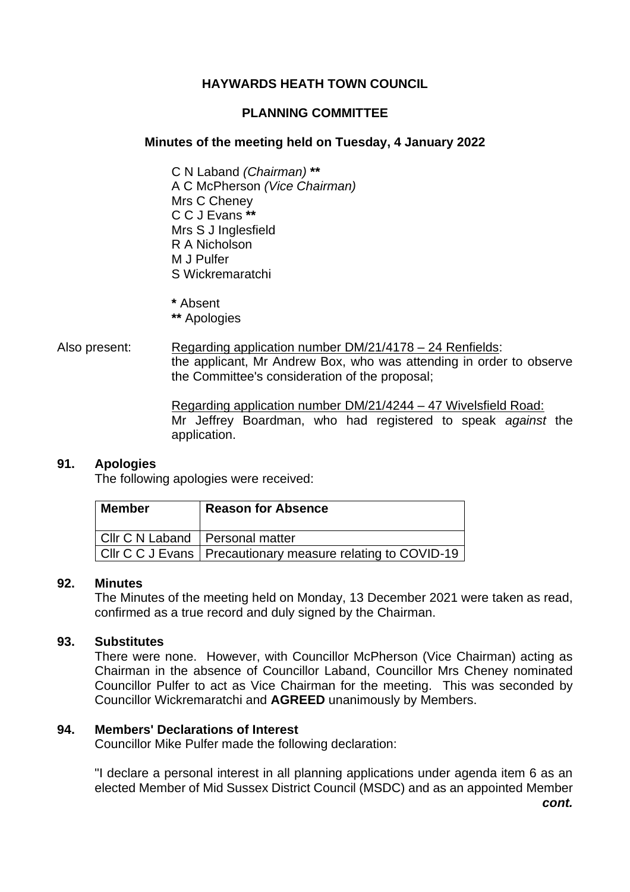### **HAYWARDS HEATH TOWN COUNCIL**

### **PLANNING COMMITTEE**

### **Minutes of the meeting held on Tuesday, 4 January 2022**

C N Laband *(Chairman)* **\*\*** A C McPherson *(Vice Chairman)* Mrs C Cheney C C J Evans **\*\*** Mrs S J Inglesfield R A Nicholson M J Pulfer S Wickremaratchi

**\*** Absent

- **\*\*** Apologies
- Also present: Regarding application number DM/21/4178 24 Renfields: the applicant, Mr Andrew Box, who was attending in order to observe the Committee's consideration of the proposal;

Regarding application number DM/21/4244 – 47 Wivelsfield Road: Mr Jeffrey Boardman, who had registered to speak *against* the application.

### **91. Apologies**

The following apologies were received:

| Member                            | <b>Reason for Absence</b>                                     |
|-----------------------------------|---------------------------------------------------------------|
| Cllr C N Laband   Personal matter |                                                               |
|                                   | Cllr C C J Evans   Precautionary measure relating to COVID-19 |

### **92. Minutes**

The Minutes of the meeting held on Monday, 13 December 2021 were taken as read, confirmed as a true record and duly signed by the Chairman.

### **93. Substitutes**

There were none. However, with Councillor McPherson (Vice Chairman) acting as Chairman in the absence of Councillor Laband, Councillor Mrs Cheney nominated Councillor Pulfer to act as Vice Chairman for the meeting. This was seconded by Councillor Wickremaratchi and **AGREED** unanimously by Members.

### **94. Members' Declarations of Interest**

Councillor Mike Pulfer made the following declaration:

"I declare a personal interest in all planning applications under agenda item 6 as an elected Member of Mid Sussex District Council (MSDC) and as an appointed Member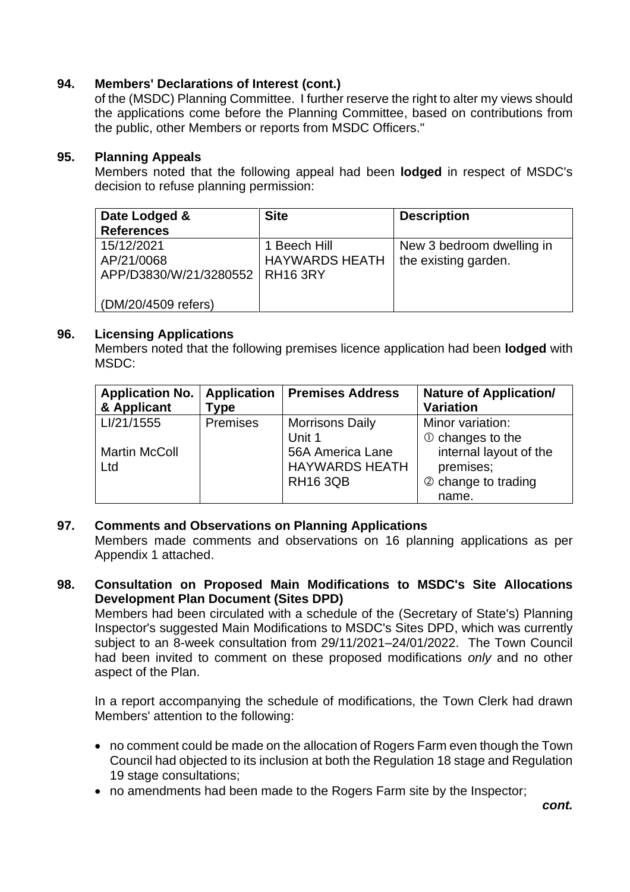### **94. Members' Declarations of Interest (cont.)**

of the (MSDC) Planning Committee. I further reserve the right to alter my views should the applications come before the Planning Committee, based on contributions from the public, other Members or reports from MSDC Officers."

### **95. Planning Appeals**

Members noted that the following appeal had been **lodged** in respect of MSDC's decision to refuse planning permission:

| Date Lodged &          | <b>Site</b>           | <b>Description</b>        |
|------------------------|-----------------------|---------------------------|
| <b>References</b>      |                       |                           |
| 15/12/2021             | 1 Beech Hill          | New 3 bedroom dwelling in |
| AP/21/0068             | <b>HAYWARDS HEATH</b> | the existing garden.      |
| APP/D3830/W/21/3280552 | <b>RH16 3RY</b>       |                           |
|                        |                       |                           |
| (DM/20/4509 refers)    |                       |                           |

### **96. Licensing Applications**

Members noted that the following premises licence application had been **lodged** with MSDC:

| <b>Application No.</b><br>& Applicant | <b>Application</b><br>'ype | <b>Premises Address</b>                                      | <b>Nature of Application/</b><br><b>Variation</b>                   |
|---------------------------------------|----------------------------|--------------------------------------------------------------|---------------------------------------------------------------------|
| LI/21/1555                            | <b>Premises</b>            | <b>Morrisons Daily</b><br>Unit 1                             | Minor variation:<br>$\circled{1}$ changes to the                    |
| <b>Martin McColl</b><br>Ltd           |                            | 56A America Lane<br><b>HAYWARDS HEATH</b><br><b>RH16 3QB</b> | internal layout of the<br>premises;<br>2 change to trading<br>name. |

### **97. Comments and Observations on Planning Applications**

Members made comments and observations on 16 planning applications as per Appendix 1 attached.

**98. Consultation on Proposed Main Modifications to MSDC's Site Allocations Development Plan Document (Sites DPD)**

Members had been circulated with a schedule of the (Secretary of State's) Planning Inspector's suggested Main Modifications to MSDC's Sites DPD, which was currently subject to an 8-week consultation from 29/11/2021–24/01/2022. The Town Council had been invited to comment on these proposed modifications *only* and no other aspect of the Plan.

In a report accompanying the schedule of modifications, the Town Clerk had drawn Members' attention to the following:

- no comment could be made on the allocation of Rogers Farm even though the Town Council had objected to its inclusion at both the Regulation 18 stage and Regulation 19 stage consultations;
- no amendments had been made to the Rogers Farm site by the Inspector;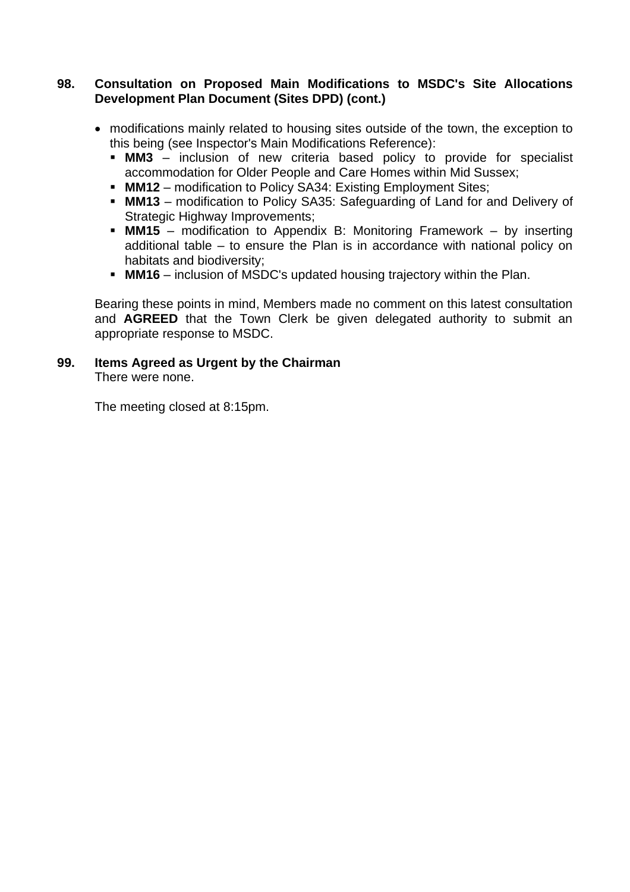### **98. Consultation on Proposed Main Modifications to MSDC's Site Allocations Development Plan Document (Sites DPD) (cont.)**

- modifications mainly related to housing sites outside of the town, the exception to this being (see Inspector's Main Modifications Reference):
	- **MM3** inclusion of new criteria based policy to provide for specialist accommodation for Older People and Care Homes within Mid Sussex;
	- **MM12** modification to Policy SA34: Existing Employment Sites;
	- **MM13** modification to Policy SA35: Safeguarding of Land for and Delivery of Strategic Highway Improvements:
	- **MM15** modification to Appendix B: Monitoring Framework by inserting additional table – to ensure the Plan is in accordance with national policy on habitats and biodiversity;
	- **MM16** inclusion of MSDC's updated housing trajectory within the Plan.

Bearing these points in mind, Members made no comment on this latest consultation and **AGREED** that the Town Clerk be given delegated authority to submit an appropriate response to MSDC.

# **99. Items Agreed as Urgent by the Chairman**

There were none.

The meeting closed at 8:15pm.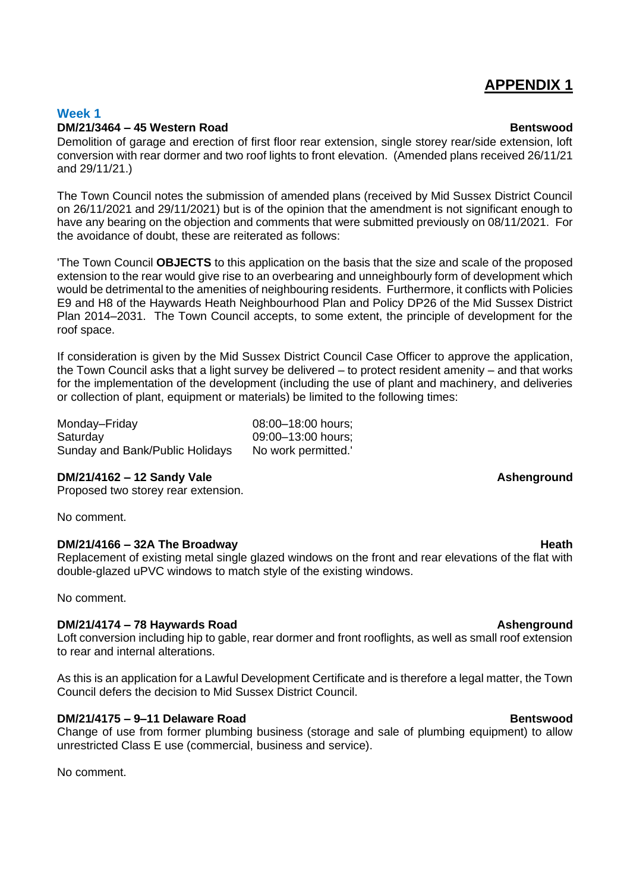## **APPENDIX 1**

### **Week 1 DM/21/3464 – 45 Western Road Bentswood**

Demolition of garage and erection of first floor rear extension, single storey rear/side extension, loft conversion with rear dormer and two roof lights to front elevation. (Amended plans received 26/11/21 and 29/11/21.)

The Town Council notes the submission of amended plans (received by Mid Sussex District Council on 26/11/2021 and 29/11/2021) but is of the opinion that the amendment is not significant enough to have any bearing on the objection and comments that were submitted previously on 08/11/2021. For the avoidance of doubt, these are reiterated as follows:

'The Town Council **OBJECTS** to this application on the basis that the size and scale of the proposed extension to the rear would give rise to an overbearing and unneighbourly form of development which would be detrimental to the amenities of neighbouring residents. Furthermore, it conflicts with Policies E9 and H8 of the Haywards Heath Neighbourhood Plan and Policy DP26 of the Mid Sussex District Plan 2014–2031. The Town Council accepts, to some extent, the principle of development for the roof space.

If consideration is given by the Mid Sussex District Council Case Officer to approve the application, the Town Council asks that a light survey be delivered – to protect resident amenity – and that works for the implementation of the development (including the use of plant and machinery, and deliveries or collection of plant, equipment or materials) be limited to the following times:

Monday–Friday 08:00–18:00 hours; Saturday 09:00–13:00 hours; Sunday and Bank/Public Holidays No work permitted.'

### **DM/21/4162 – 12 Sandy Vale Ashenground**

Proposed two storey rear extension.

No comment.

### **DM/21/4166 – 32A The Broadway <b>All and Struck and Struck and Struck** and Heath

Replacement of existing metal single glazed windows on the front and rear elevations of the flat with double-glazed uPVC windows to match style of the existing windows.

No comment.

### **DM/21/4174 – 78 Haywards Road Ashenground**

Loft conversion including hip to gable, rear dormer and front rooflights, as well as small roof extension to rear and internal alterations.

As this is an application for a Lawful Development Certificate and is therefore a legal matter, the Town Council defers the decision to Mid Sussex District Council.

### **DM/21/4175 – 9–11 Delaware Road Bentswood**

Change of use from former plumbing business (storage and sale of plumbing equipment) to allow unrestricted Class E use (commercial, business and service).

No comment.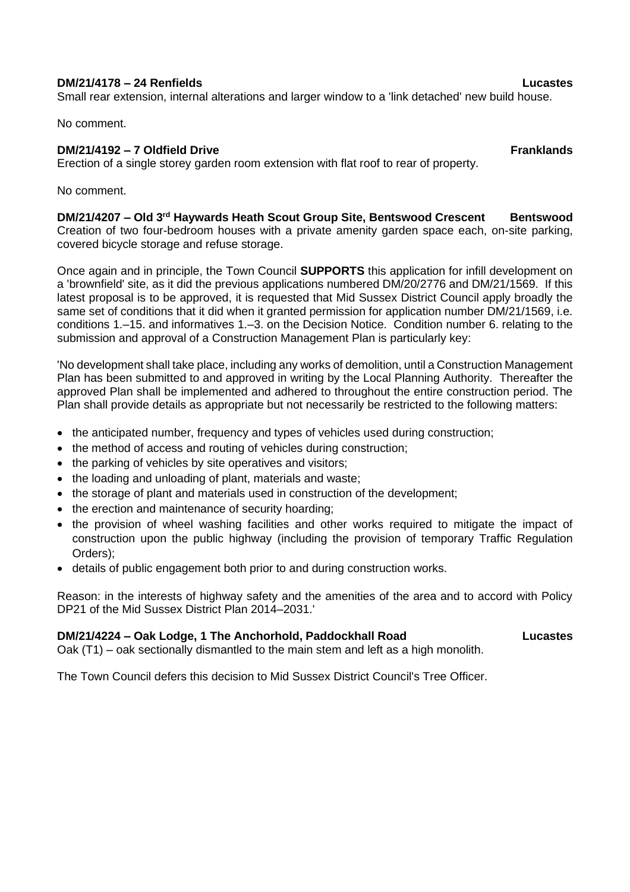### **DM/21/4178 – 24 Renfields Lucastes**

Small rear extension, internal alterations and larger window to a 'link detached' new build house.

No comment.

### **DM/21/4192 – 7 Oldfield Drive Franklands**

Erection of a single storey garden room extension with flat roof to rear of property.

No comment.

## **DM/21/4207 – Old 3rd Haywards Heath Scout Group Site, Bentswood Crescent Bentswood**

Creation of two four-bedroom houses with a private amenity garden space each, on-site parking, covered bicycle storage and refuse storage.

Once again and in principle, the Town Council **SUPPORTS** this application for infill development on a 'brownfield' site, as it did the previous applications numbered DM/20/2776 and DM/21/1569. If this latest proposal is to be approved, it is requested that Mid Sussex District Council apply broadly the same set of conditions that it did when it granted permission for application number DM/21/1569, i.e. conditions 1.–15. and informatives 1.–3. on the Decision Notice. Condition number 6. relating to the submission and approval of a Construction Management Plan is particularly key:

'No development shall take place, including any works of demolition, until a Construction Management Plan has been submitted to and approved in writing by the Local Planning Authority. Thereafter the approved Plan shall be implemented and adhered to throughout the entire construction period. The Plan shall provide details as appropriate but not necessarily be restricted to the following matters:

- the anticipated number, frequency and types of vehicles used during construction;
- the method of access and routing of vehicles during construction;
- the parking of vehicles by site operatives and visitors;
- the loading and unloading of plant, materials and waste;
- the storage of plant and materials used in construction of the development;
- the erection and maintenance of security hoarding;
- the provision of wheel washing facilities and other works required to mitigate the impact of construction upon the public highway (including the provision of temporary Traffic Regulation Orders);
- details of public engagement both prior to and during construction works.

Reason: in the interests of highway safety and the amenities of the area and to accord with Policy DP21 of the Mid Sussex District Plan 2014–2031.'

### **DM/21/4224 – Oak Lodge, 1 The Anchorhold, Paddockhall Road Lucastes**

Oak (T1) – oak sectionally dismantled to the main stem and left as a high monolith.

The Town Council defers this decision to Mid Sussex District Council's Tree Officer.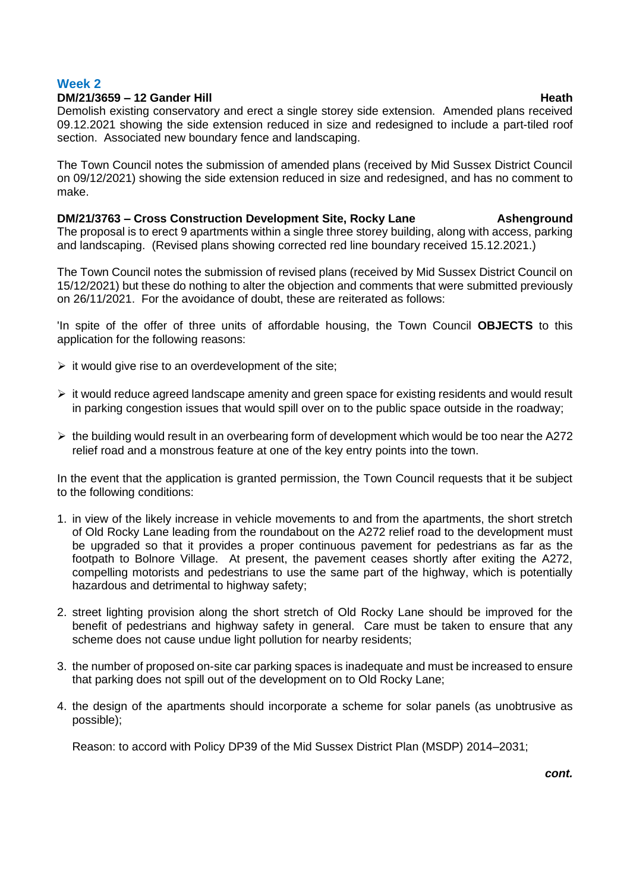### **Week 2**

### **DM/21/3659 – 12 Gander Hill Heath**

Demolish existing conservatory and erect a single storey side extension. Amended plans received 09.12.2021 showing the side extension reduced in size and redesigned to include a part-tiled roof section. Associated new boundary fence and landscaping.

The Town Council notes the submission of amended plans (received by Mid Sussex District Council on 09/12/2021) showing the side extension reduced in size and redesigned, and has no comment to make.

**DM/21/3763 – Cross Construction Development Site, Rocky Lane Ashenground** The proposal is to erect 9 apartments within a single three storey building, along with access, parking and landscaping. (Revised plans showing corrected red line boundary received 15.12.2021.)

The Town Council notes the submission of revised plans (received by Mid Sussex District Council on 15/12/2021) but these do nothing to alter the objection and comments that were submitted previously on 26/11/2021. For the avoidance of doubt, these are reiterated as follows:

'In spite of the offer of three units of affordable housing, the Town Council **OBJECTS** to this application for the following reasons:

- $\triangleright$  it would give rise to an overdevelopment of the site;
- ➢ it would reduce agreed landscape amenity and green space for existing residents and would result in parking congestion issues that would spill over on to the public space outside in the roadway;
- $\triangleright$  the building would result in an overbearing form of development which would be too near the A272 relief road and a monstrous feature at one of the key entry points into the town.

In the event that the application is granted permission, the Town Council requests that it be subject to the following conditions:

- 1. in view of the likely increase in vehicle movements to and from the apartments, the short stretch of Old Rocky Lane leading from the roundabout on the A272 relief road to the development must be upgraded so that it provides a proper continuous pavement for pedestrians as far as the footpath to Bolnore Village. At present, the pavement ceases shortly after exiting the A272, compelling motorists and pedestrians to use the same part of the highway, which is potentially hazardous and detrimental to highway safety;
- 2. street lighting provision along the short stretch of Old Rocky Lane should be improved for the benefit of pedestrians and highway safety in general. Care must be taken to ensure that any scheme does not cause undue light pollution for nearby residents;
- 3. the number of proposed on-site car parking spaces is inadequate and must be increased to ensure that parking does not spill out of the development on to Old Rocky Lane;
- 4. the design of the apartments should incorporate a scheme for solar panels (as unobtrusive as possible);

Reason: to accord with Policy DP39 of the Mid Sussex District Plan (MSDP) 2014–2031;

*cont.*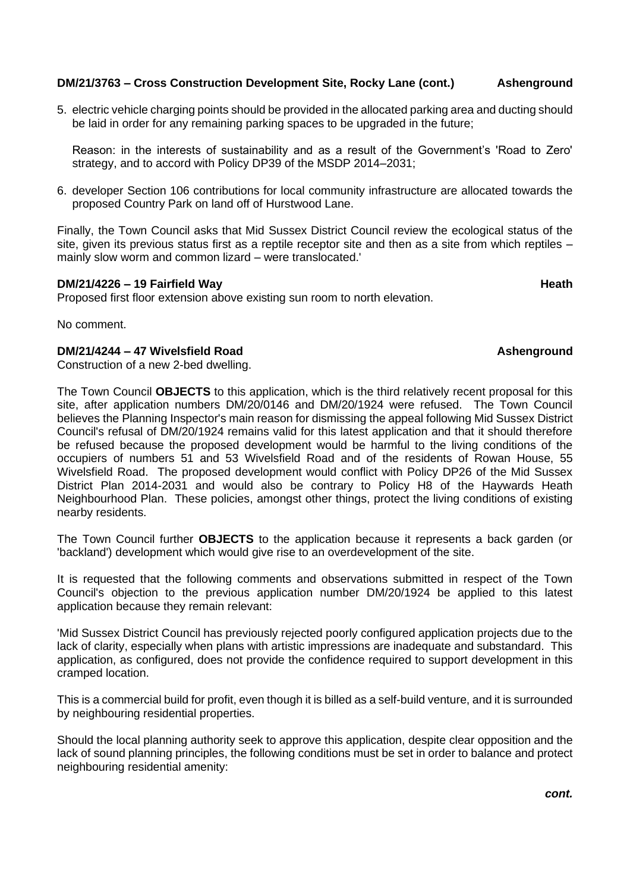### **DM/21/3763 – Cross Construction Development Site, Rocky Lane (cont.) Ashenground**

5. electric vehicle charging points should be provided in the allocated parking area and ducting should be laid in order for any remaining parking spaces to be upgraded in the future;

Reason: in the interests of sustainability and as a result of the Government's 'Road to Zero' strategy, and to accord with Policy DP39 of the MSDP 2014–2031;

6. developer Section 106 contributions for local community infrastructure are allocated towards the proposed Country Park on land off of Hurstwood Lane.

Finally, the Town Council asks that Mid Sussex District Council review the ecological status of the site, given its previous status first as a reptile receptor site and then as a site from which reptiles – mainly slow worm and common lizard – were translocated.'

### **DM/21/4226 – 19 Fairfield Way Heath Heath Heath Heath**

Proposed first floor extension above existing sun room to north elevation.

No comment.

### **DM/21/4244 – 47 Wivelsfield Road Ashenground**

Construction of a new 2-bed dwelling.

The Town Council **OBJECTS** to this application, which is the third relatively recent proposal for this site, after application numbers DM/20/0146 and DM/20/1924 were refused. The Town Council believes the Planning Inspector's main reason for dismissing the appeal following Mid Sussex District Council's refusal of DM/20/1924 remains valid for this latest application and that it should therefore be refused because the proposed development would be harmful to the living conditions of the occupiers of numbers 51 and 53 Wivelsfield Road and of the residents of Rowan House, 55 Wivelsfield Road. The proposed development would conflict with Policy DP26 of the Mid Sussex District Plan 2014-2031 and would also be contrary to Policy H8 of the Haywards Heath Neighbourhood Plan. These policies, amongst other things, protect the living conditions of existing nearby residents.

The Town Council further **OBJECTS** to the application because it represents a back garden (or 'backland') development which would give rise to an overdevelopment of the site.

It is requested that the following comments and observations submitted in respect of the Town Council's objection to the previous application number DM/20/1924 be applied to this latest application because they remain relevant:

'Mid Sussex District Council has previously rejected poorly configured application projects due to the lack of clarity, especially when plans with artistic impressions are inadequate and substandard. This application, as configured, does not provide the confidence required to support development in this cramped location.

This is a commercial build for profit, even though it is billed as a self-build venture, and it is surrounded by neighbouring residential properties.

Should the local planning authority seek to approve this application, despite clear opposition and the lack of sound planning principles, the following conditions must be set in order to balance and protect neighbouring residential amenity: